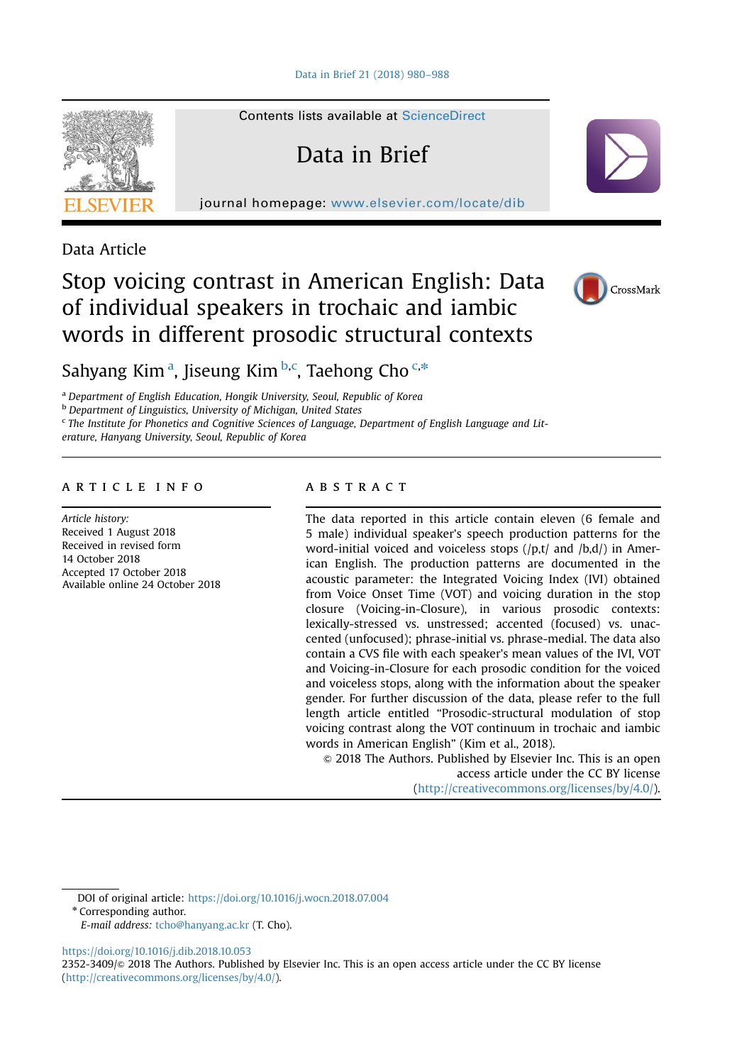

Contents lists available at [ScienceDirect](www.sciencedirect.com/science/journal/23523409)

# Data in Brief

journal homepage: <www.elsevier.com/locate/dib>

Data Article

## Stop voicing contrast in American English: Data of individual speakers in trochaic and iambic words in different prosodic structural contexts



Sahyang Kim<sup>a</sup>, Jiseung Kim<sup>b,c</sup>, Taehong Cho<sup>c,\*</sup>

<sup>a</sup> Department of English Education, Hongik University, Seoul, Republic of Korea

**b** Department of Linguistics, University of Michigan, United States

<sup>c</sup> The Institute for Phonetics and Cognitive Sciences of Language, Department of English Language and Lit-

erature, Hanyang University, Seoul, Republic of Korea

## article info

Article history: Received 1 August 2018 Received in revised form 14 October 2018 Accepted 17 October 2018 Available online 24 October 2018

## **ABSTRACT**

The data reported in this article contain eleven (6 female and 5 male) individual speaker's speech production patterns for the word-initial voiced and voiceless stops (/p,t/ and /b,d/) in American English. The production patterns are documented in the acoustic parameter: the Integrated Voicing Index (IVI) obtained from Voice Onset Time (VOT) and voicing duration in the stop closure (Voicing-in-Closure), in various prosodic contexts: lexically-stressed vs. unstressed; accented (focused) vs. unaccented (unfocused); phrase-initial vs. phrase-medial. The data also contain a CVS file with each speaker's mean values of the IVI, VOT and Voicing-in-Closure for each prosodic condition for the voiced and voiceless stops, along with the information about the speaker gender. For further discussion of the data, please refer to the full length article entitled "Prosodic-structural modulation of stop voicing contrast along the VOT continuum in trochaic and iambic words in American English" (Kim et al., 2018).

 $\odot$  2018 The Authors. Published by Elsevier Inc. This is an open access article under the CC BY license (http://creativecommons.org/licenses/by/4.0/).

DOI of original article: [https://doi.org/10.1016/j.wocn.2018.07.004](http://dx.doi.org/10.1016/j.wocn.2018.07.004)

\* Corresponding author.

[https://doi.org/10.1016/j.dib.2018.10.053](dx.doi.org/10.1016/j.dib.2018.10.053)

2352-3409/© 2018 The Authors. Published by Elsevier Inc. This is an open access article under the CC BY license (http://creativecommons.org/licenses/by/4.0/).

E-mail address: [tcho@hanyang.ac.kr](mailto:tcho@hanyang.ac.kr) (T. Cho).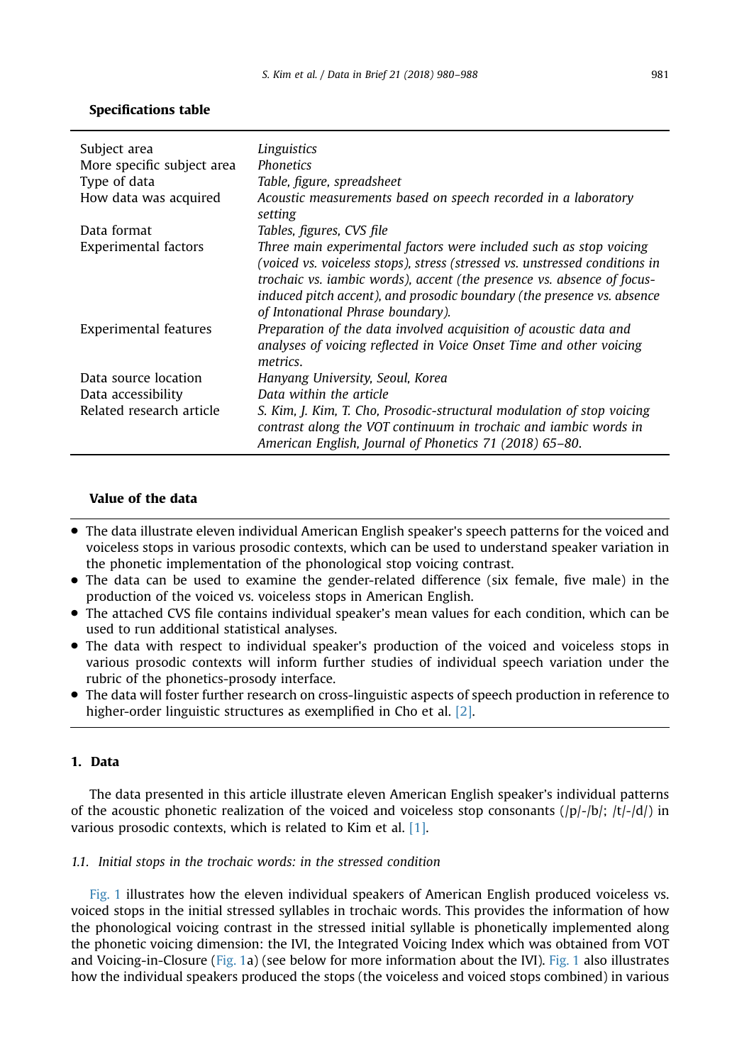## Specifications table

| Subject area                | Linguistics                                                                                                                                                                                                                                                                                                                                |
|-----------------------------|--------------------------------------------------------------------------------------------------------------------------------------------------------------------------------------------------------------------------------------------------------------------------------------------------------------------------------------------|
| More specific subject area  | <b>Phonetics</b>                                                                                                                                                                                                                                                                                                                           |
| Type of data                | Table, figure, spreadsheet                                                                                                                                                                                                                                                                                                                 |
| How data was acquired       | Acoustic measurements based on speech recorded in a laboratory<br>setting                                                                                                                                                                                                                                                                  |
| Data format                 | Tables, figures, CVS file                                                                                                                                                                                                                                                                                                                  |
| <b>Experimental factors</b> | Three main experimental factors were included such as stop voicing<br>(voiced vs. voiceless stops), stress (stressed vs. unstressed conditions in<br>trochaic vs. iambic words), accent (the presence vs. absence of focus-<br>induced pitch accent), and prosodic boundary (the presence vs. absence<br>of Intonational Phrase boundary). |
| Experimental features       | Preparation of the data involved acquisition of acoustic data and<br>analyses of voicing reflected in Voice Onset Time and other voicing<br>metrics.                                                                                                                                                                                       |
| Data source location        | Hanyang University, Seoul, Korea                                                                                                                                                                                                                                                                                                           |
| Data accessibility          | Data within the article                                                                                                                                                                                                                                                                                                                    |
| Related research article    | S. Kim, J. Kim, T. Cho, Prosodic-structural modulation of stop voicing<br>contrast along the VOT continuum in trochaic and iambic words in<br>American English, Journal of Phonetics 71 (2018) 65–80.                                                                                                                                      |

## Value of the data

- The data illustrate eleven individual American English speaker's speech patterns for the voiced and voiceless stops in various prosodic contexts, which can be used to understand speaker variation in the phonetic implementation of the phonological stop voicing contrast.
- The data can be used to examine the gender-related difference (six female, five male) in the production of the voiced vs. voiceless stops in American English.
- The attached CVS file contains individual speaker's mean values for each condition, which can be used to run additional statistical analyses.
- The data with respect to individual speaker's production of the voiced and voiceless stops in various prosodic contexts will inform further studies of individual speech variation under the rubric of the phonetics-prosody interface.
- The data will foster further research on cross-linguistic aspects of speech production in reference to higher-order linguistic structures as exemplified in Cho et al. [\[2\].](#page-8-0)

## 1. Data

The data presented in this article illustrate eleven American English speaker's individual patterns of the acoustic phonetic realization of the voiced and voiceless stop consonants  $(|p|-|b|; |t|-|d|)$  in various prosodic contexts, which is related to Kim et al. [\[1\]](#page-8-0).

## 1.1. Initial stops in the trochaic words: in the stressed condition

[Fig. 1](#page-2-0) illustrates how the eleven individual speakers of American English produced voiceless vs. voiced stops in the initial stressed syllables in trochaic words. This provides the information of how the phonological voicing contrast in the stressed initial syllable is phonetically implemented along the phonetic voicing dimension: the IVI, the Integrated Voicing Index which was obtained from VOT and Voicing-in-Closure [\(Fig. 1a](#page-2-0)) (see below for more information about the IVI). [Fig. 1](#page-2-0) also illustrates how the individual speakers produced the stops (the voiceless and voiced stops combined) in various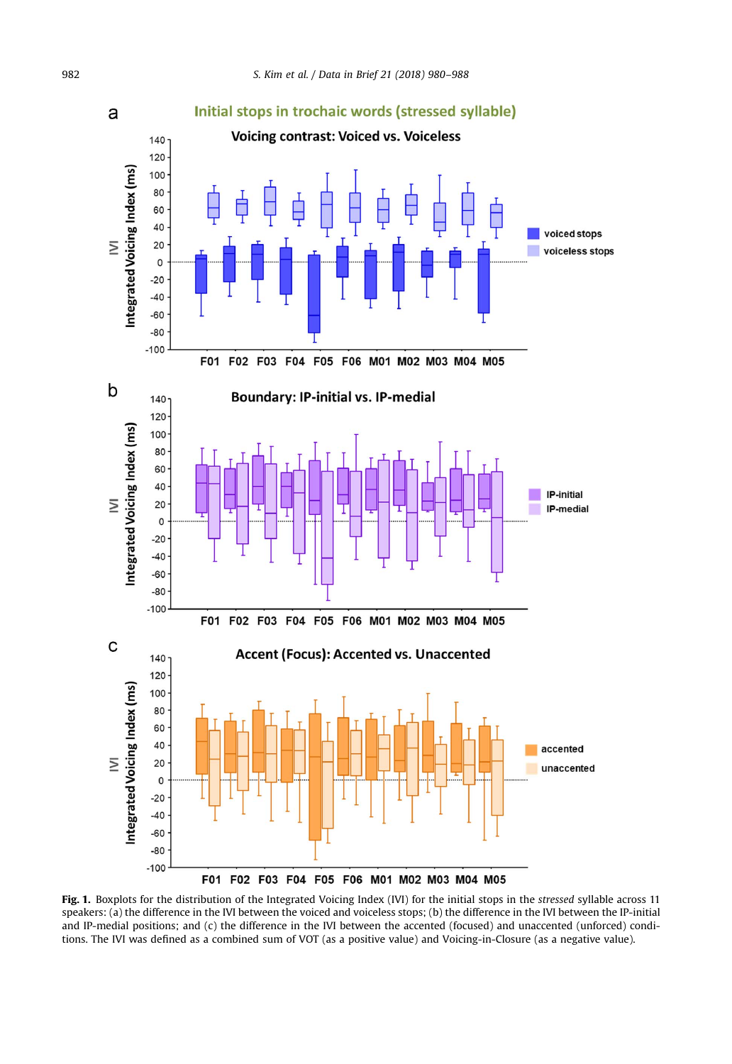<span id="page-2-0"></span>

Fig. 1. Boxplots for the distribution of the Integrated Voicing Index (IVI) for the initial stops in the stressed syllable across 11 speakers: (a) the difference in the IVI between the voiced and voiceless stops; (b) the difference in the IVI between the IP-initial and IP-medial positions; and (c) the difference in the IVI between the accented (focused) and unaccented (unforced) conditions. The IVI was defined as a combined sum of VOT (as a positive value) and Voicing-in-Closure (as a negative value).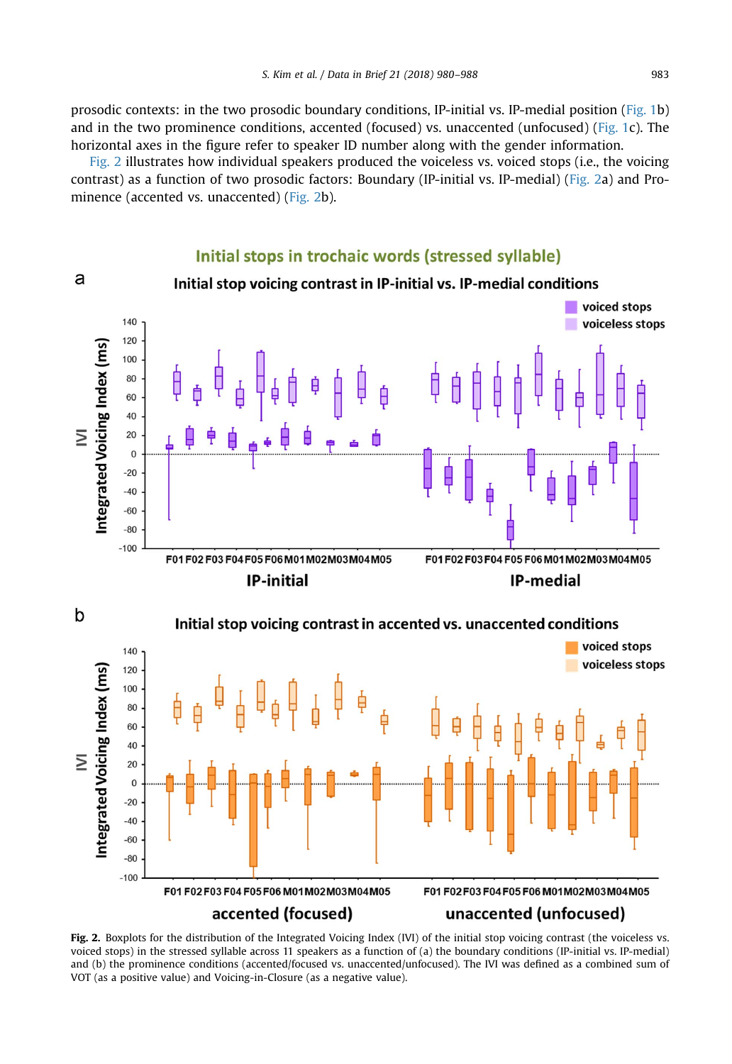Fig. 2 illustrates how individual speakers produced the voiceless vs. voiced stops (i.e., the voicing contrast) as a function of two prosodic factors: Boundary (IP-initial vs. IP-medial) (Fig. 2a) and Prominence (accented vs. unaccented) (Fig. 2b).

## Initial stops in trochaic words (stressed syllable)

a



Initial stop voicing contrast in IP-initial vs. IP-medial conditions

Fig. 2. Boxplots for the distribution of the Integrated Voicing Index (IVI) of the initial stop voicing contrast (the voiceless vs. voiced stops) in the stressed syllable across 11 speakers as a function of (a) the boundary conditions (IP-initial vs. IP-medial) and (b) the prominence conditions (accented/focused vs. unaccented/unfocused). The IVI was defined as a combined sum of VOT (as a positive value) and Voicing-in-Closure (as a negative value).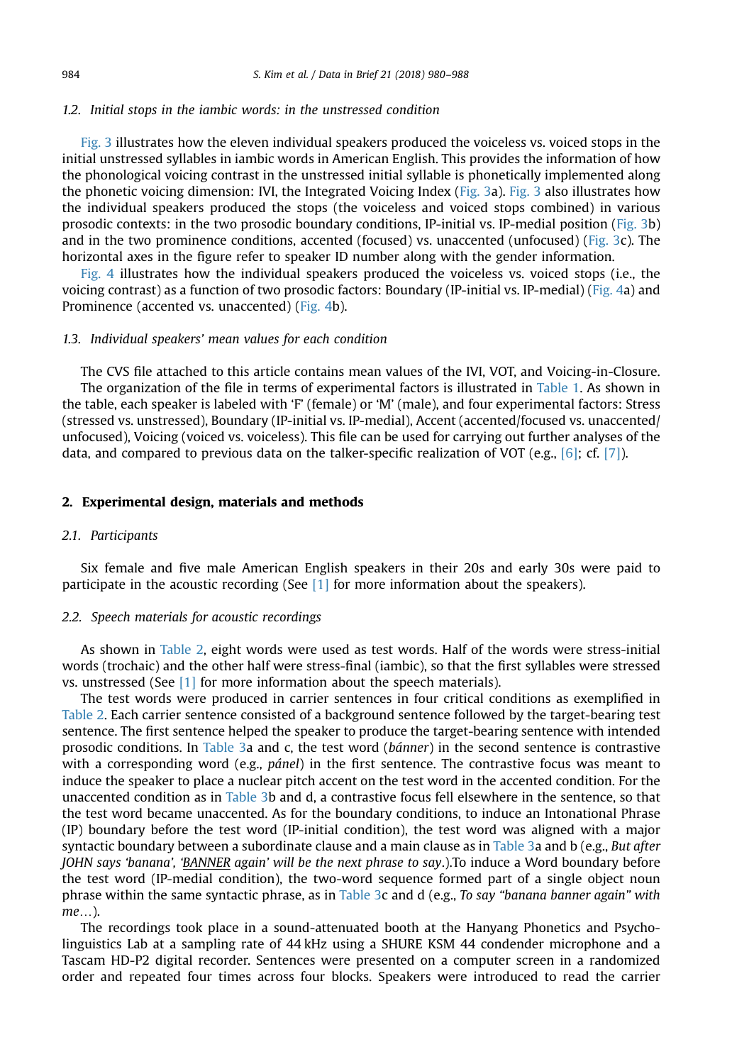## 1.2. Initial stops in the iambic words: in the unstressed condition

[Fig. 3](#page-5-0) illustrates how the eleven individual speakers produced the voiceless vs. voiced stops in the initial unstressed syllables in iambic words in American English. This provides the information of how the phonological voicing contrast in the unstressed initial syllable is phonetically implemented along the phonetic voicing dimension: IVI, the Integrated Voicing Index ([Fig. 3](#page-5-0)a). [Fig. 3](#page-5-0) also illustrates how the individual speakers produced the stops (the voiceless and voiced stops combined) in various prosodic contexts: in the two prosodic boundary conditions, IP-initial vs. IP-medial position [\(Fig. 3](#page-5-0)b) and in the two prominence conditions, accented (focused) vs. unaccented (unfocused) [\(Fig. 3c](#page-5-0)). The horizontal axes in the figure refer to speaker ID number along with the gender information.

[Fig. 4](#page-6-0) illustrates how the individual speakers produced the voiceless vs. voiced stops (i.e., the voicing contrast) as a function of two prosodic factors: Boundary (IP-initial vs. IP-medial) ([Fig. 4a](#page-6-0)) and Prominence (accented vs. unaccented) ([Fig. 4](#page-6-0)b).

#### 1.3. Individual speakers' mean values for each condition

The CVS file attached to this article contains mean values of the IVI, VOT, and Voicing-in-Closure. The organization of the file in terms of experimental factors is illustrated in [Table 1.](#page-7-0) As shown in the table, each speaker is labeled with 'F' (female) or 'M' (male), and four experimental factors: Stress (stressed vs. unstressed), Boundary (IP-initial vs. IP-medial), Accent (accented/focused vs. unaccented/ unfocused), Voicing (voiced vs. voiceless). This file can be used for carrying out further analyses of the data, and compared to previous data on the talker-specific realization of VOT (e.g.,  $[6]$ ; cf. [\[7\]\)](#page-8-0).

### 2. Experimental design, materials and methods

## 2.1. Participants

Six female and five male American English speakers in their 20s and early 30s were paid to participate in the acoustic recording (See  $[1]$  for more information about the speakers).

## 2.2. Speech materials for acoustic recordings

As shown in [Table 2](#page-7-0), eight words were used as test words. Half of the words were stress-initial words (trochaic) and the other half were stress-final (iambic), so that the first syllables were stressed vs. unstressed (See [\[1\]](#page-8-0) for more information about the speech materials).

The test words were produced in carrier sentences in four critical conditions as exemplified in [Table 2.](#page-7-0) Each carrier sentence consisted of a background sentence followed by the target-bearing test sentence. The first sentence helped the speaker to produce the target-bearing sentence with intended prosodic conditions. In [Table 3](#page-7-0)a and c, the test word (bánner) in the second sentence is contrastive with a corresponding word (e.g., *pánel*) in the first sentence. The contrastive focus was meant to induce the speaker to place a nuclear pitch accent on the test word in the accented condition. For the unaccented condition as in [Table 3b](#page-7-0) and d, a contrastive focus fell elsewhere in the sentence, so that the test word became unaccented. As for the boundary conditions, to induce an Intonational Phrase (IP) boundary before the test word (IP-initial condition), the test word was aligned with a major syntactic boundary between a subordinate clause and a main clause as in [Table 3](#page-7-0)a and b (e.g., But after JOHN says 'banana', 'BANNER again' will be the next phrase to say.).To induce a Word boundary before the test word (IP-medial condition), the two-word sequence formed part of a single object noun phrase within the same syntactic phrase, as in [Table 3](#page-7-0)c and d (e.g., To say "banana banner again" with me…).

The recordings took place in a sound-attenuated booth at the Hanyang Phonetics and Psycholinguistics Lab at a sampling rate of 44 kHz using a SHURE KSM 44 condender microphone and a Tascam HD-P2 digital recorder. Sentences were presented on a computer screen in a randomized order and repeated four times across four blocks. Speakers were introduced to read the carrier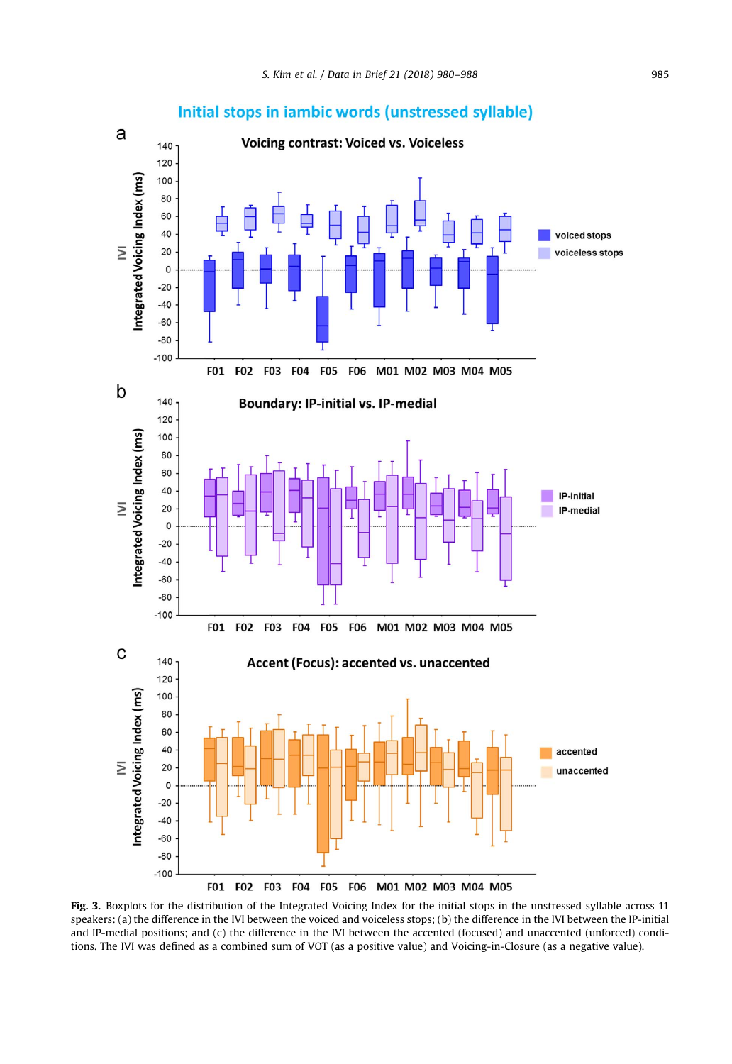<span id="page-5-0"></span>

## Initial stops in iambic words (unstressed syllable)

Fig. 3. Boxplots for the distribution of the Integrated Voicing Index for the initial stops in the unstressed syllable across 11 speakers: (a) the difference in the IVI between the voiced and voiceless stops; (b) the difference in the IVI between the IP-initial and IP-medial positions; and (c) the difference in the IVI between the accented (focused) and unaccented (unforced) conditions. The IVI was defined as a combined sum of VOT (as a positive value) and Voicing-in-Closure (as a negative value).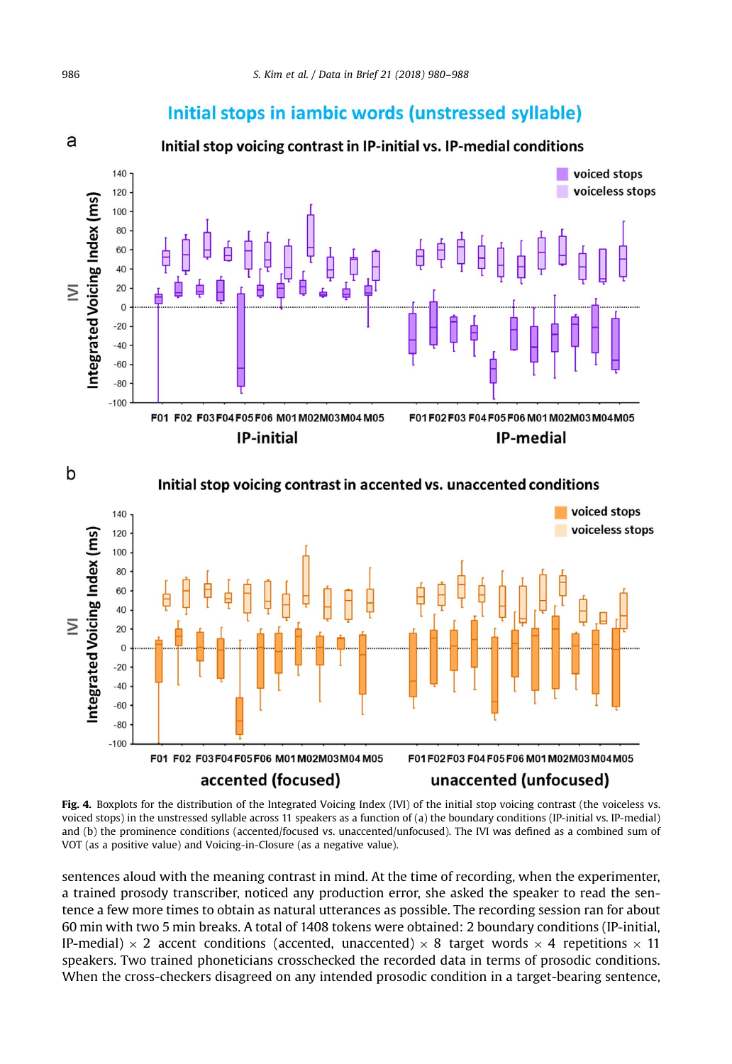## Initial stops in iambic words (unstressed syllable)

<span id="page-6-0"></span>

Fig. 4. Boxplots for the distribution of the Integrated Voicing Index (IVI) of the initial stop voicing contrast (the voiceless vs. voiced stops) in the unstressed syllable across 11 speakers as a function of (a) the boundary conditions (IP-initial vs. IP-medial) and (b) the prominence conditions (accented/focused vs. unaccented/unfocused). The IVI was defined as a combined sum of VOT (as a positive value) and Voicing-in-Closure (as a negative value).

sentences aloud with the meaning contrast in mind. At the time of recording, when the experimenter, a trained prosody transcriber, noticed any production error, she asked the speaker to read the sentence a few more times to obtain as natural utterances as possible. The recording session ran for about 60 min with two 5 min breaks. A total of 1408 tokens were obtained: 2 boundary conditions (IP-initial, IP-medial)  $\times$  2 accent conditions (accented, unaccented)  $\times$  8 target words  $\times$  4 repetitions  $\times$  11 speakers. Two trained phoneticians crosschecked the recorded data in terms of prosodic conditions. When the cross-checkers disagreed on any intended prosodic condition in a target-bearing sentence,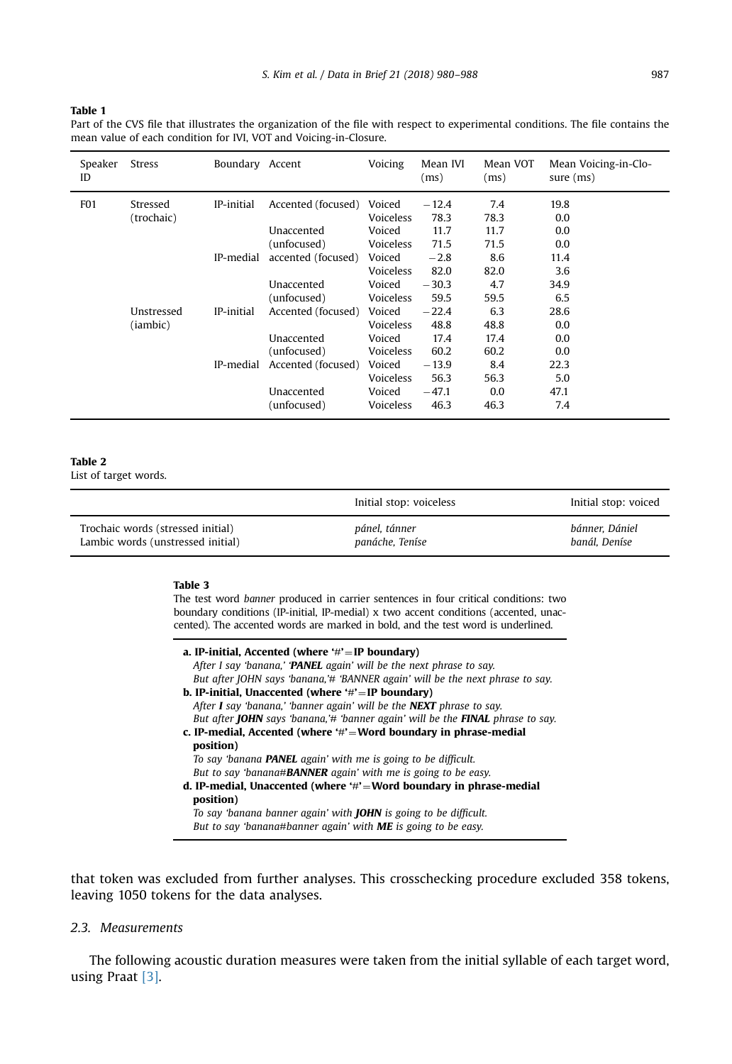<span id="page-7-0"></span>Table 1

Part of the CVS file that illustrates the organization of the file with respect to experimental conditions. The file contains the mean value of each condition for IVI, VOT and Voicing-in-Closure.

| Speaker<br>ID   | Stress                 | Boundary Accent |                    | Voicing          | Mean IVI<br>(ms) | Mean VOT<br>(ms) | Mean Voicing-in-Clo-<br>sure $(ms)$ |
|-----------------|------------------------|-----------------|--------------------|------------------|------------------|------------------|-------------------------------------|
| F <sub>01</sub> | Stressed               | IP-initial      | Accented (focused) | Voiced           | $-12.4$          | 7.4              | 19.8                                |
|                 | (trochaic)             |                 |                    | Voiceless        | 78.3             | 78.3             | 0.0                                 |
|                 |                        |                 | Unaccented         | Voiced           | 11.7             | 11.7             | 0.0                                 |
|                 |                        |                 | (unfocused)        | Voiceless        | 71.5             | 71.5             | 0.0                                 |
|                 |                        | IP-medial       | accented (focused) | Voiced           | $-2.8$           | 8.6              | 11.4                                |
|                 |                        |                 |                    | <b>Voiceless</b> | 82.0             | 82.0             | 3.6                                 |
|                 |                        |                 | Unaccented         | Voiced           | $-30.3$          | 4.7              | 34.9                                |
|                 |                        |                 | (unfocused)        | Voiceless        | 59.5             | 59.5             | 6.5                                 |
|                 | Unstressed<br>(iambic) | IP-initial      | Accented (focused) | Voiced           | $-22.4$          | 6.3              | 28.6                                |
|                 |                        |                 |                    | <b>Voiceless</b> | 48.8             | 48.8             | 0.0                                 |
|                 |                        |                 | Unaccented         | Voiced           | 17.4             | 17.4             | 0.0                                 |
|                 |                        |                 | (unfocused)        | Voiceless        | 60.2             | 60.2             | 0.0                                 |
|                 |                        | IP-medial       | Accented (focused) | Voiced           | $-13.9$          | 8.4              | 22.3                                |
|                 |                        |                 |                    | Voiceless        | 56.3             | 56.3             | 5.0                                 |
|                 |                        |                 | Unaccented         | Voiced           | $-47.1$          | 0.0              | 47.1                                |
|                 |                        |                 | (unfocused)        | Voiceless        | 46.3             | 46.3             | 7.4                                 |

## Table 2

List of target words.

|                                   | Initial stop: voiceless | Initial stop: voiced |
|-----------------------------------|-------------------------|----------------------|
| Trochaic words (stressed initial) | pánel, tánner           | bánner. Dániel       |
| Lambic words (unstressed initial) | panáche, Teníse         | banál. Deníse        |

#### Table 3

The test word banner produced in carrier sentences in four critical conditions: two boundary conditions (IP-initial, IP-medial) x two accent conditions (accented, unaccented). The accented words are marked in bold, and the test word is underlined.

| a. IP-initial, Accented (where $\#$ '=IP boundary)                                           |
|----------------------------------------------------------------------------------------------|
| After I say 'banana,' 'PANEL again' will be the next phrase to say.                          |
| But after JOHN says 'banana,'# 'BANNER again' will be the next phrase to say.                |
| b. IP-initial, Unaccented (where $\dot{H} = IP$ boundary)                                    |
| After I say 'banana,' 'banner again' will be the <b>NEXT</b> phrase to say.                  |
| But after <b>JOHN</b> says 'banana,'# 'banner again' will be the <b>FINAL</b> phrase to say. |
| c. IP-medial, Accented (where $\#$ '=Word boundary in phrase-medial                          |
| position)                                                                                    |
| To say 'banana <b>PANEL</b> again' with me is going to be difficult.                         |
| But to say 'banana#BANNER again' with me is going to be easy.                                |
| d. IP-medial, Unaccented (where $\#$ = Word boundary in phrase-medial                        |
| position)                                                                                    |
| To say 'banana banner again' with <b>JOHN</b> is going to be difficult.                      |
| But to say 'banana#banner again' with <b>ME</b> is going to be easy.                         |

that token was excluded from further analyses. This crosschecking procedure excluded 358 tokens, leaving 1050 tokens for the data analyses.

## 2.3. Measurements

The following acoustic duration measures were taken from the initial syllable of each target word, using Praat [\[3\]](#page-8-0).